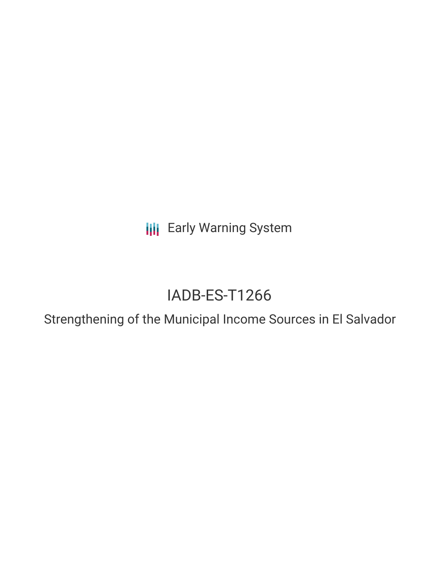**III** Early Warning System

# IADB-ES-T1266

Strengthening of the Municipal Income Sources in El Salvador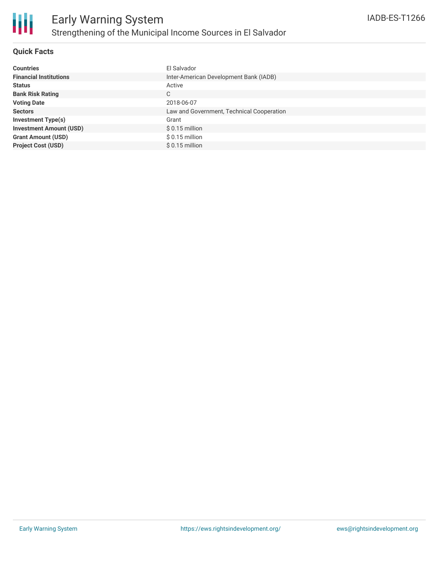

### **Quick Facts**

| <b>Countries</b>               | El Salvador                               |
|--------------------------------|-------------------------------------------|
| <b>Financial Institutions</b>  | Inter-American Development Bank (IADB)    |
| <b>Status</b>                  | Active                                    |
| <b>Bank Risk Rating</b>        | C                                         |
| <b>Voting Date</b>             | 2018-06-07                                |
| <b>Sectors</b>                 | Law and Government, Technical Cooperation |
| <b>Investment Type(s)</b>      | Grant                                     |
| <b>Investment Amount (USD)</b> | $$0.15$ million                           |
| <b>Grant Amount (USD)</b>      | $$0.15$ million                           |
| <b>Project Cost (USD)</b>      | $$0.15$ million                           |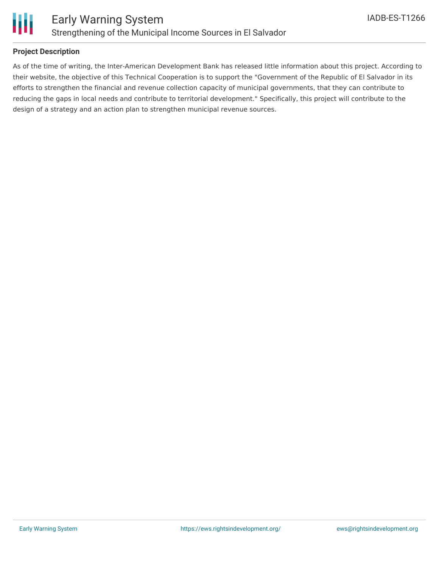

### **Project Description**

As of the time of writing, the Inter-American Development Bank has released little information about this project. According to their website, the objective of this Technical Cooperation is to support the "Government of the Republic of El Salvador in its efforts to strengthen the financial and revenue collection capacity of municipal governments, that they can contribute to reducing the gaps in local needs and contribute to territorial development." Specifically, this project will contribute to the design of a strategy and an action plan to strengthen municipal revenue sources.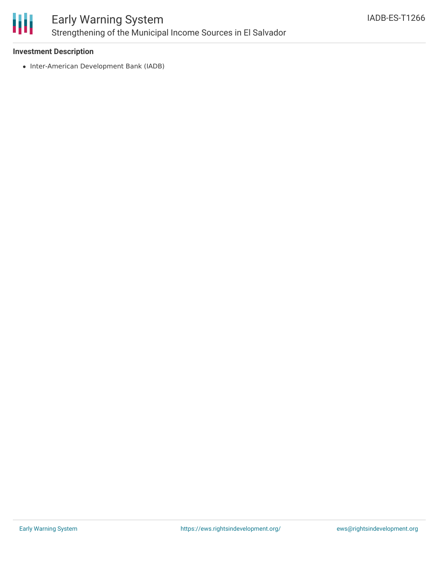

# Early Warning System Strengthening of the Municipal Income Sources in El Salvador

### **Investment Description**

• Inter-American Development Bank (IADB)